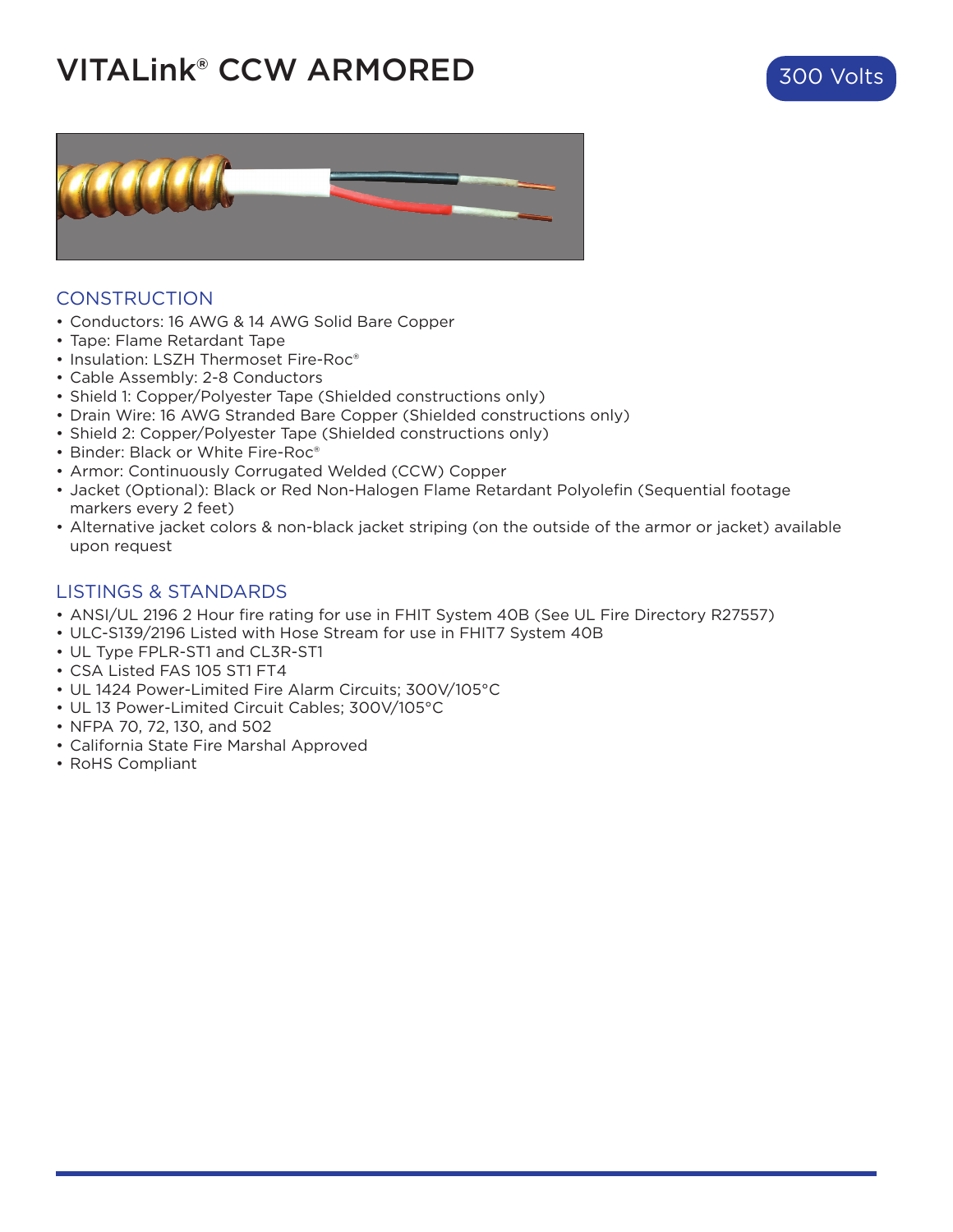## VITALink® CCW ARMORED





## **CONSTRUCTION**

- Conductors: 16 AWG & 14 AWG Solid Bare Copper
- Tape: Flame Retardant Tape
- Insulation: LSZH Thermoset Fire-Roc®
- Cable Assembly: 2-8 Conductors
- Shield 1: Copper/Polyester Tape (Shielded constructions only)
- Drain Wire: 16 AWG Stranded Bare Copper (Shielded constructions only)
- Shield 2: Copper/Polyester Tape (Shielded constructions only)
- Binder: Black or White Fire-Roc®
- Armor: Continuously Corrugated Welded (CCW) Copper
- Jacket (Optional): Black or Red Non-Halogen Flame Retardant Polyolefin (Sequential footage markers every 2 feet)
- Alternative jacket colors & non-black jacket striping (on the outside of the armor or jacket) available upon request

#### LISTINGS & STANDARDS

- ANSI/UL 2196 2 Hour fire rating for use in FHIT System 40B (See UL Fire Directory R27557)
- ULC-S139/2196 Listed with Hose Stream for use in FHIT7 System 40B
- UL Type FPLR-ST1 and CL3R-ST1
- CSA Listed FAS 105 ST1 FT4
- UL 1424 Power-Limited Fire Alarm Circuits; 300V/105°C
- UL 13 Power-Limited Circuit Cables; 300V/105°C
- NFPA 70, 72, 130, and 502
- California State Fire Marshal Approved
- RoHS Compliant